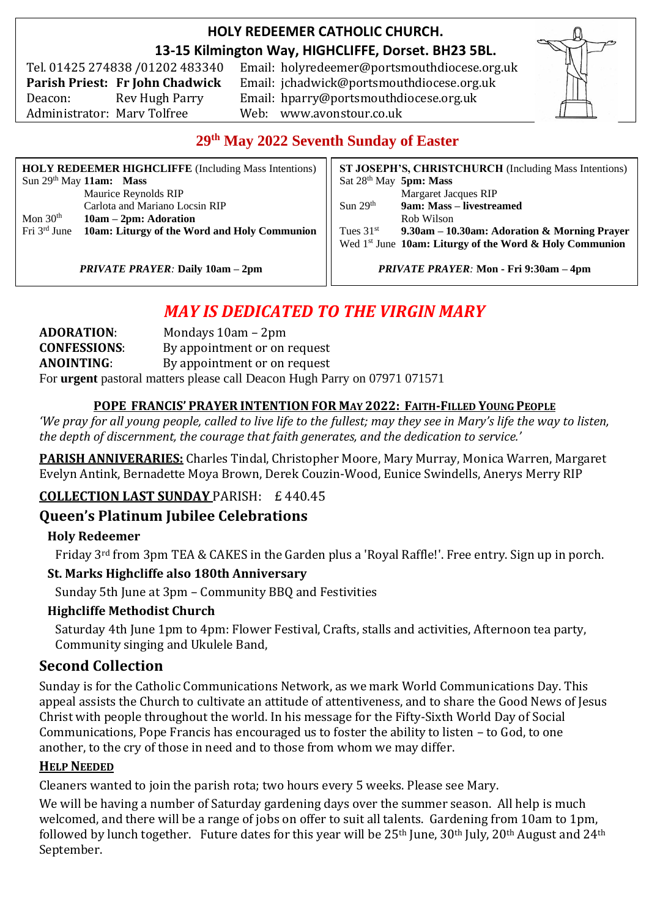## **HOLY REDEEMER CATHOLIC CHURCH. 13-15 Kilmington Way, HIGHCLIFFE, Dorset. BH23 5BL.**

Tel. 01425 274838 /01202 483340 Administrator: Mary Tolfree Web: www.avonstour.co.uk

Email: holyredeemer@portsmouthdiocese.org.uk **Parish Priest: Fr John Chadwick** Email: jchadwick@portsmouthdiocese.org.uk Deacon: Rev Hugh Parry Email: hparry@portsmouthdiocese.org.uk



## **29th May 2022 Seventh Sunday of Easter**

| <b>HOLY REDEEMER HIGHCLIFFE</b> (Including Mass Intentions) |                                                                       | ST JOSEPH'S, CHRISTCHURCH (Including Mass Intentions) |                                                           |
|-------------------------------------------------------------|-----------------------------------------------------------------------|-------------------------------------------------------|-----------------------------------------------------------|
|                                                             | Sun $29th$ May 11am: Mass                                             | Sat $28th$ May 5pm: Mass                              |                                                           |
|                                                             | Maurice Reynolds RIP                                                  |                                                       | <b>Margaret Jacques RIP</b>                               |
|                                                             | Carlota and Mariano Locsin RIP                                        | Sun $29th$                                            | 9am: Mass – livestreamed                                  |
| Mon $30th$                                                  | $10am - 2pm: Adoration$                                               |                                                       | Rob Wilson                                                |
|                                                             | Fri 3 <sup>rd</sup> June 10am: Liturgy of the Word and Holy Communion | Tues $31st$                                           | 9.30am – 10.30am: Adoration & Morning Prayer              |
|                                                             |                                                                       |                                                       | Wed $1st$ June 10am: Liturgy of the Word & Holy Communion |
|                                                             |                                                                       |                                                       |                                                           |

*PRIVATE PRAYER:* **Daily 10am – 2pm**

*PRIVATE PRAYER:* **Mon - Fri 9:30am – 4pm**

# *MAY IS DEDICATED TO THE VIRGIN MARY*

**ADORATION**: Mondays 10am – 2pm **CONFESSIONS**: By appointment or on request **ANOINTING**: By appointment or on request For **urgent** pastoral matters please call Deacon Hugh Parry on 07971 071571

#### **POPE FRANCIS' PRAYER INTENTION FOR MAY 2022: FAITH-FILLED YOUNG PEOPLE**

*'We pray for all young people, called to live life to the fullest; may they see in Mary's life the way to listen, the depth of discernment, the courage that faith generates, and the dedication to service.'*

**PARISH ANNIVERARIES:** Charles Tindal, Christopher Moore, Mary Murray, Monica Warren, Margaret Evelyn Antink, Bernadette Moya Brown, Derek Couzin-Wood, Eunice Swindells, Anerys Merry RIP

#### **COLLECTION LAST SUNDAY** PARISH: £ 440.45

## **Queen's Platinum Jubilee Celebrations**

#### **Holy Redeemer**

Friday 3rd from 3pm TEA & CAKES in the Garden plus a 'Royal Raffle!'. Free entry. Sign up in porch.

#### **St. Marks Highcliffe also 180th Anniversary**

Sunday 5th June at 3pm – Community BBQ and Festivities

#### **Highcliffe Methodist Church**

Saturday 4th June 1pm to 4pm: Flower Festival, Crafts, stalls and activities, Afternoon tea party, Community singing and Ukulele Band,

#### **Second Collection**

Sunday is for the Catholic Communications Network, as we mark World Communications Day. This appeal assists the Church to cultivate an attitude of attentiveness, and to share the Good News of Jesus Christ with people throughout the world. In his message for the Fifty-Sixth World Day of Social Communications, Pope Francis has encouraged us to foster the ability to listen – to God, to one another, to the cry of those in need and to those from whom we may differ.

#### **HELP NEEDED**

Cleaners wanted to join the parish rota; two hours every 5 weeks. Please see Mary.

We will be having a number of Saturday gardening days over the summer season. All help is much welcomed, and there will be a range of jobs on offer to suit all talents. Gardening from 10am to 1pm, followed by lunch together. Future dates for this year will be  $25<sup>th</sup>$  June,  $30<sup>th</sup>$  July,  $20<sup>th</sup>$  August and  $24<sup>th</sup>$ September.